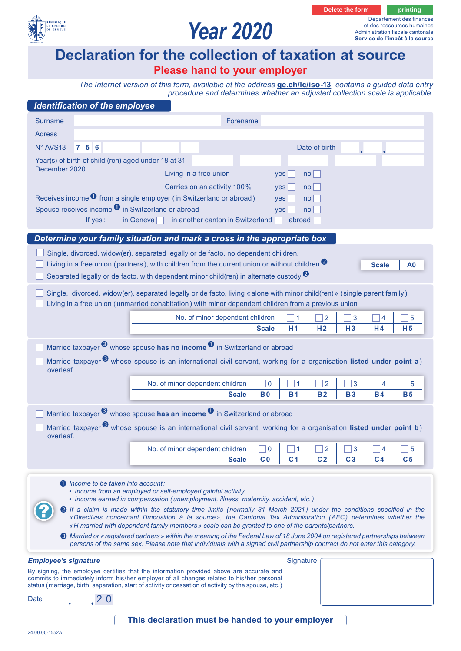

## *Year 2020*

**Delete the form beam of printing** 

Département des finances et des ressources humaines Administration fiscale cantonale **Service de l'impôt à la source**

### **Declaration for the collection of taxation at source**

### **Please hand to your employer**

*The Internet version of this form, available at the address* **ge.ch/lc/iso-13***, contains a guided data entry [procedure and determines whether an adjusted collection scale is applicable.](https://ge.ch/lc/iso-13)*

| <b>Identification of the employee</b>                                                                                                                                                                                                             |                                                                                                                                                                                                                                                                    |                               |                                                                                                                                                                                                                                                                                                                                    |                     |                     |                     |                |
|---------------------------------------------------------------------------------------------------------------------------------------------------------------------------------------------------------------------------------------------------|--------------------------------------------------------------------------------------------------------------------------------------------------------------------------------------------------------------------------------------------------------------------|-------------------------------|------------------------------------------------------------------------------------------------------------------------------------------------------------------------------------------------------------------------------------------------------------------------------------------------------------------------------------|---------------------|---------------------|---------------------|----------------|
| <b>Surname</b><br>Forename                                                                                                                                                                                                                        |                                                                                                                                                                                                                                                                    |                               |                                                                                                                                                                                                                                                                                                                                    |                     |                     |                     |                |
| <b>Adress</b>                                                                                                                                                                                                                                     |                                                                                                                                                                                                                                                                    |                               |                                                                                                                                                                                                                                                                                                                                    |                     |                     |                     |                |
| 756<br>N° AVS13                                                                                                                                                                                                                                   |                                                                                                                                                                                                                                                                    |                               |                                                                                                                                                                                                                                                                                                                                    | Date of birth       |                     |                     |                |
| Year(s) of birth of child (ren) aged under 18 at 31                                                                                                                                                                                               |                                                                                                                                                                                                                                                                    |                               |                                                                                                                                                                                                                                                                                                                                    |                     |                     |                     |                |
| December 2020                                                                                                                                                                                                                                     | Living in a free union                                                                                                                                                                                                                                             |                               | yes                                                                                                                                                                                                                                                                                                                                | $no$                |                     |                     |                |
|                                                                                                                                                                                                                                                   | Carries on an activity 100%                                                                                                                                                                                                                                        |                               | no <sub>1</sub><br>yes                                                                                                                                                                                                                                                                                                             |                     |                     |                     |                |
| Receives income $\bullet$ from a single employer (in Switzerland or abroad)<br>no <sub>1</sub><br>yes<br>Spouse receives income <sup>0</sup> in Switzerland or abroad                                                                             |                                                                                                                                                                                                                                                                    |                               |                                                                                                                                                                                                                                                                                                                                    |                     |                     |                     |                |
| If yes:                                                                                                                                                                                                                                           | in another canton in Switzerland<br>in Geneva                                                                                                                                                                                                                      |                               | no<br>yes<br>abroad                                                                                                                                                                                                                                                                                                                |                     |                     |                     |                |
|                                                                                                                                                                                                                                                   |                                                                                                                                                                                                                                                                    |                               |                                                                                                                                                                                                                                                                                                                                    |                     |                     |                     |                |
| Determine your family situation and mark a cross in the appropriate box                                                                                                                                                                           |                                                                                                                                                                                                                                                                    |                               |                                                                                                                                                                                                                                                                                                                                    |                     |                     |                     |                |
| Single, divorced, widow(er), separated legally or de facto, no dependent children.<br>Living in a free union (partners), with children from the current union or without children $\bullet$                                                       |                                                                                                                                                                                                                                                                    |                               |                                                                                                                                                                                                                                                                                                                                    |                     |                     |                     |                |
|                                                                                                                                                                                                                                                   | Separated legally or de facto, with dependent minor child(ren) in alternate custody <sup>2</sup>                                                                                                                                                                   |                               |                                                                                                                                                                                                                                                                                                                                    |                     |                     | <b>Scale</b>        | A0             |
| Single, divorced, widow(er), separated legally or de facto, living « alone with minor child(ren) » (single parent family)                                                                                                                         |                                                                                                                                                                                                                                                                    |                               |                                                                                                                                                                                                                                                                                                                                    |                     |                     |                     |                |
| Living in a free union (unmarried cohabitation) with minor dependent children from a previous union                                                                                                                                               |                                                                                                                                                                                                                                                                    |                               |                                                                                                                                                                                                                                                                                                                                    |                     |                     |                     |                |
|                                                                                                                                                                                                                                                   | No. of minor dependent children                                                                                                                                                                                                                                    |                               | -1                                                                                                                                                                                                                                                                                                                                 | $\exists$ 2         | ] 3                 | 4                   | 5              |
|                                                                                                                                                                                                                                                   |                                                                                                                                                                                                                                                                    | <b>Scale</b>                  | H1                                                                                                                                                                                                                                                                                                                                 | H <sub>2</sub>      | H3                  | H <sub>4</sub>      | H <sub>5</sub> |
| Married taxpayer $\bullet$ whose spouse has no income $\bullet$ in Switzerland or abroad                                                                                                                                                          |                                                                                                                                                                                                                                                                    |                               |                                                                                                                                                                                                                                                                                                                                    |                     |                     |                     |                |
| Married taxpayer <sup>3</sup> whose spouse is an international civil servant, working for a organisation listed under point a)                                                                                                                    |                                                                                                                                                                                                                                                                    |                               |                                                                                                                                                                                                                                                                                                                                    |                     |                     |                     |                |
| overleaf.                                                                                                                                                                                                                                         |                                                                                                                                                                                                                                                                    |                               |                                                                                                                                                                                                                                                                                                                                    |                     |                     |                     |                |
|                                                                                                                                                                                                                                                   | No. of minor dependent children                                                                                                                                                                                                                                    | $\Box$ 0                      | $\blacktriangleleft$                                                                                                                                                                                                                                                                                                               | $\overline{2}$      | 3                   | 4                   | $\overline{5}$ |
|                                                                                                                                                                                                                                                   | <b>Scale</b>                                                                                                                                                                                                                                                       | <b>B0</b>                     | <b>B1</b>                                                                                                                                                                                                                                                                                                                          | <b>B2</b>           | <b>B3</b>           | <b>B4</b>           | <b>B5</b>      |
| Married taxpayer $\bullet$ whose spouse has an income $\bullet$ in Switzerland or abroad                                                                                                                                                          |                                                                                                                                                                                                                                                                    |                               |                                                                                                                                                                                                                                                                                                                                    |                     |                     |                     |                |
| Married taxpayer <sup>3</sup> whose spouse is an international civil servant, working for a organisation listed under point b)                                                                                                                    |                                                                                                                                                                                                                                                                    |                               |                                                                                                                                                                                                                                                                                                                                    |                     |                     |                     |                |
| overleaf.                                                                                                                                                                                                                                         |                                                                                                                                                                                                                                                                    |                               | $\overline{1}$ and $\overline{1}$ and $\overline{1}$ and $\overline{1}$ and $\overline{1}$ and $\overline{1}$ and $\overline{1}$ and $\overline{1}$ and $\overline{1}$ and $\overline{1}$ and $\overline{1}$ and $\overline{1}$ and $\overline{1}$ and $\overline{1}$ and $\overline{1}$ and $\overline{1}$ and $\overline{1}$ and |                     |                     |                     |                |
|                                                                                                                                                                                                                                                   | No. of minor dependent children<br><b>Scale</b>                                                                                                                                                                                                                    | $\mathbf 0$<br>C <sub>0</sub> | 1<br>C <sub>1</sub>                                                                                                                                                                                                                                                                                                                | 2<br>C <sub>2</sub> | 3<br>C <sub>3</sub> | 4<br>C <sub>4</sub> | 5<br>C5        |
|                                                                                                                                                                                                                                                   |                                                                                                                                                                                                                                                                    |                               |                                                                                                                                                                                                                                                                                                                                    |                     |                     |                     |                |
| <b>O</b> Income to be taken into account:                                                                                                                                                                                                         |                                                                                                                                                                                                                                                                    |                               |                                                                                                                                                                                                                                                                                                                                    |                     |                     |                     |                |
| • Income from an employed or self-employed gainful activity<br>• Income earned in compensation (unemployment, illness, maternity, accident, etc.)                                                                                                 |                                                                                                                                                                                                                                                                    |                               |                                                                                                                                                                                                                                                                                                                                    |                     |                     |                     |                |
| <sup>2</sup> If a claim is made within the statutory time limits (normally 31 March 2021) under the conditions specified in the<br>«Directives concernant l'imposition à la source», the Cantonal Tax Administration (AFC) determines whether the |                                                                                                                                                                                                                                                                    |                               |                                                                                                                                                                                                                                                                                                                                    |                     |                     |                     |                |
|                                                                                                                                                                                                                                                   | « H married with dependent family members » scale can be granted to one of the parents/partners.                                                                                                                                                                   |                               |                                                                                                                                                                                                                                                                                                                                    |                     |                     |                     |                |
|                                                                                                                                                                                                                                                   | <b>❸</b> Married or « registered partners » within the meaning of the Federal Law of 18 June 2004 on registered partnerships between<br>persons of the same sex. Please note that individuals with a signed civil partnership contract do not enter this category. |                               |                                                                                                                                                                                                                                                                                                                                    |                     |                     |                     |                |
|                                                                                                                                                                                                                                                   |                                                                                                                                                                                                                                                                    |                               |                                                                                                                                                                                                                                                                                                                                    |                     |                     |                     |                |
| <b>Employee's signature</b>                                                                                                                                                                                                                       | By signing, the employee certifies that the information provided above are accurate and                                                                                                                                                                            |                               | Signature                                                                                                                                                                                                                                                                                                                          |                     |                     |                     |                |
|                                                                                                                                                                                                                                                   | commits to immediately inform his/her employer of all changes related to his/her personal<br>status (marriage, birth, separation, start of activity or cessation of activity by the spouse, etc.)                                                                  |                               |                                                                                                                                                                                                                                                                                                                                    |                     |                     |                     |                |
| .20<br>Date                                                                                                                                                                                                                                       |                                                                                                                                                                                                                                                                    |                               |                                                                                                                                                                                                                                                                                                                                    |                     |                     |                     |                |
|                                                                                                                                                                                                                                                   |                                                                                                                                                                                                                                                                    |                               |                                                                                                                                                                                                                                                                                                                                    |                     |                     |                     |                |
|                                                                                                                                                                                                                                                   | This declaration must be handed to your employer                                                                                                                                                                                                                   |                               |                                                                                                                                                                                                                                                                                                                                    |                     |                     |                     |                |